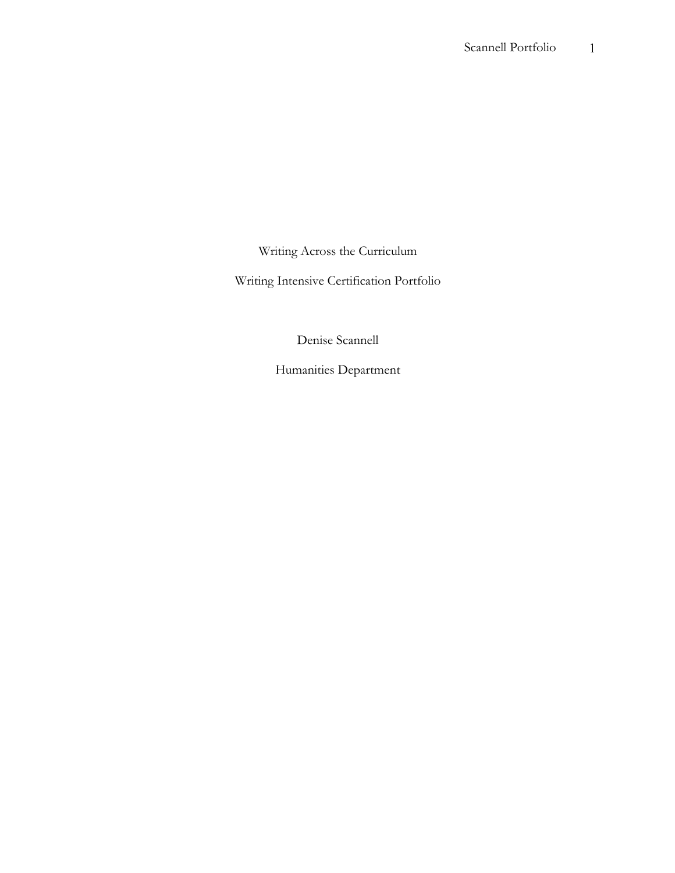Writing Across the Curriculum

Writing Intensive Certification Portfolio

Denise Scannell

Humanities Department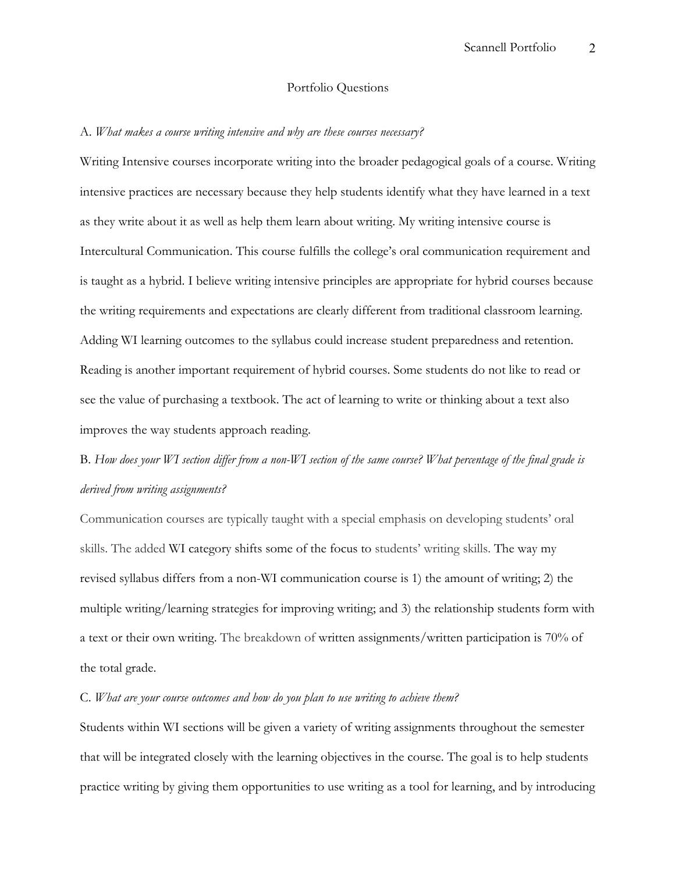#### Portfolio Questions

#### A. *What makes a course writing intensive and why are these courses necessary?*

Writing Intensive courses incorporate writing into the broader pedagogical goals of a course. Writing intensive practices are necessary because they help students identify what they have learned in a text as they write about it as well as help them learn about writing. My writing intensive course is Intercultural Communication. This course fulfills the college's oral communication requirement and is taught as a hybrid. I believe writing intensive principles are appropriate for hybrid courses because the writing requirements and expectations are clearly different from traditional classroom learning. Adding WI learning outcomes to the syllabus could increase student preparedness and retention. Reading is another important requirement of hybrid courses. Some students do not like to read or see the value of purchasing a textbook. The act of learning to write or thinking about a text also improves the way students approach reading.

# B. *How does your WI section differ from a non-WI section of the same course? What percentage of the final grade is derived from writing assignments?*

Communication courses are typically taught with a special emphasis on developing students' oral skills. The added WI category shifts some of the focus to students' writing skills. The way my revised syllabus differs from a non-WI communication course is 1) the amount of writing; 2) the multiple writing/learning strategies for improving writing; and 3) the relationship students form with a text or their own writing. The breakdown of written assignments/written participation is 70% of the total grade.

#### C. *What are your course outcomes and how do you plan to use writing to achieve them?*

Students within WI sections will be given a variety of writing assignments throughout the semester that will be integrated closely with the learning objectives in the course. The goal is to help students practice writing by giving them opportunities to use writing as a tool for learning, and by introducing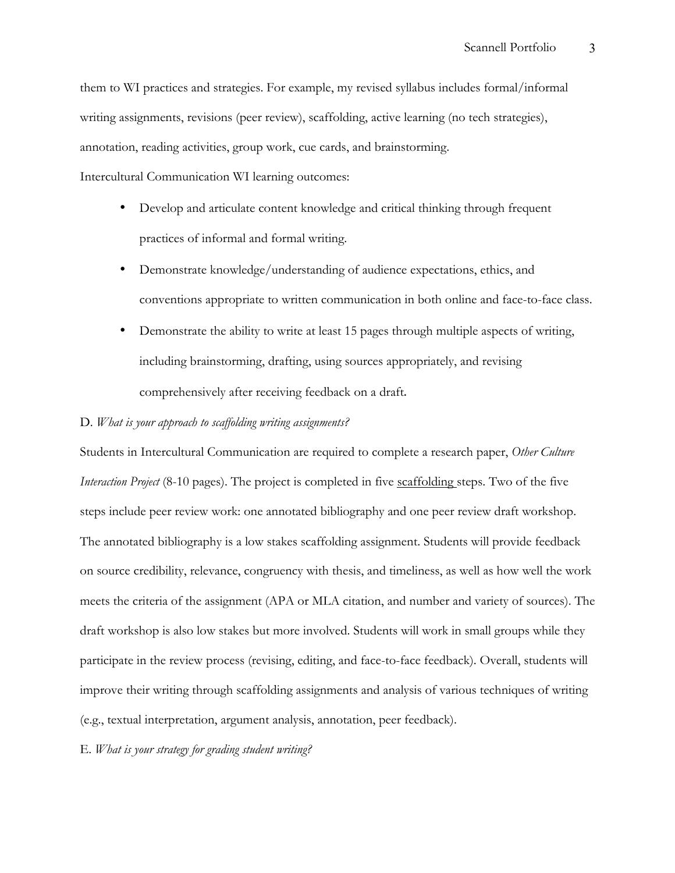them to WI practices and strategies. For example, my revised syllabus includes formal/informal writing assignments, revisions (peer review), scaffolding, active learning (no tech strategies), annotation, reading activities, group work, cue cards, and brainstorming.

Intercultural Communication WI learning outcomes:

- Develop and articulate content knowledge and critical thinking through frequent practices of informal and formal writing.
- Demonstrate knowledge/understanding of audience expectations, ethics, and conventions appropriate to written communication in both online and face-to-face class.
- Demonstrate the ability to write at least 15 pages through multiple aspects of writing, including brainstorming, drafting, using sources appropriately, and revising comprehensively after receiving feedback on a draft.

#### D. *What is your approach to scaffolding writing assignments?*

Students in Intercultural Communication are required to complete a research paper, *Other Culture Interaction Project* (8-10 pages). The project is completed in five scaffolding steps. Two of the five steps include peer review work: one annotated bibliography and one peer review draft workshop. The annotated bibliography is a low stakes scaffolding assignment. Students will provide feedback on source credibility, relevance, congruency with thesis, and timeliness, as well as how well the work meets the criteria of the assignment (APA or MLA citation, and number and variety of sources). The draft workshop is also low stakes but more involved. Students will work in small groups while they participate in the review process (revising, editing, and face-to-face feedback). Overall, students will improve their writing through scaffolding assignments and analysis of various techniques of writing (e.g., textual interpretation, argument analysis, annotation, peer feedback).

#### E. *What is your strategy for grading student writing?*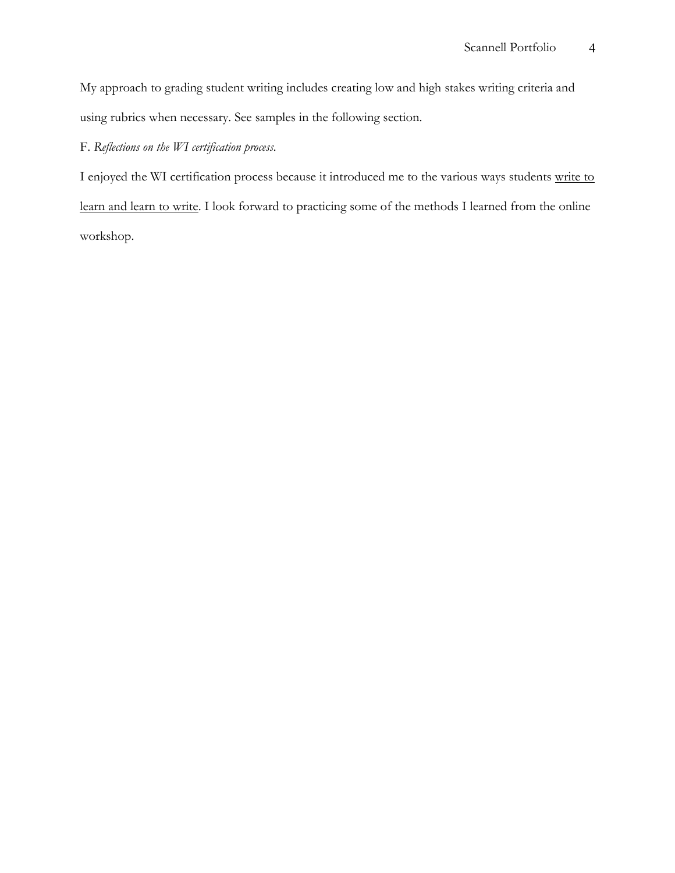My approach to grading student writing includes creating low and high stakes writing criteria and using rubrics when necessary. See samples in the following section.

## F. *Reflections on the WI certification process.*

I enjoyed the WI certification process because it introduced me to the various ways students write to learn and learn to write. I look forward to practicing some of the methods I learned from the online workshop.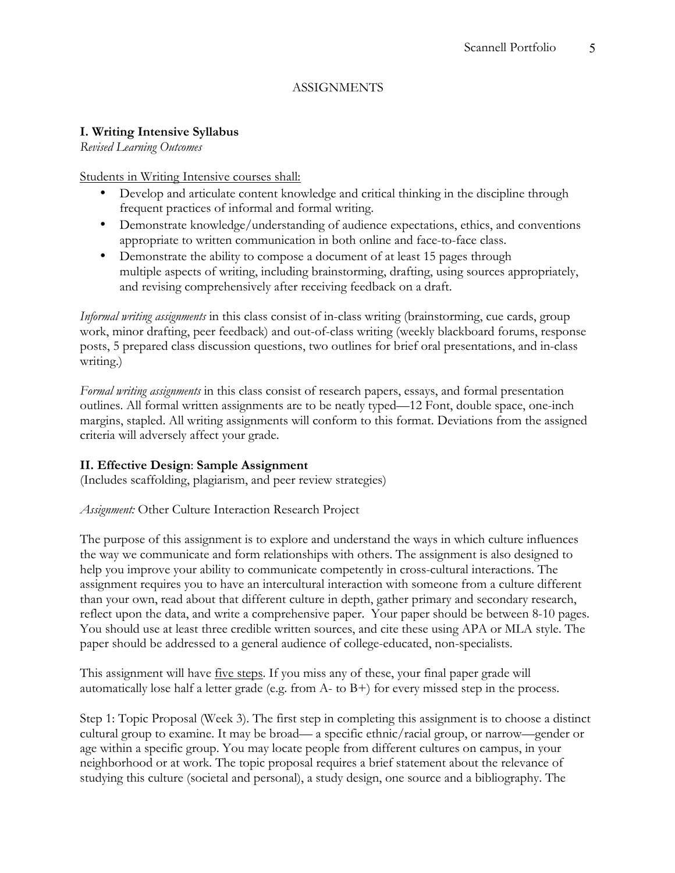### ASSIGNMENTS

### **I. Writing Intensive Syllabus**

*Revised Learning Outcomes* 

Students in Writing Intensive courses shall:

- Develop and articulate content knowledge and critical thinking in the discipline through frequent practices of informal and formal writing.
- Demonstrate knowledge/understanding of audience expectations, ethics, and conventions appropriate to written communication in both online and face-to-face class.
- Demonstrate the ability to compose a document of at least 15 pages through multiple aspects of writing, including brainstorming, drafting, using sources appropriately, and revising comprehensively after receiving feedback on a draft.

*Informal writing assignments* in this class consist of in-class writing (brainstorming, cue cards, group work, minor drafting, peer feedback) and out-of-class writing (weekly blackboard forums, response posts, 5 prepared class discussion questions, two outlines for brief oral presentations, and in-class writing.)

*Formal writing assignments* in this class consist of research papers, essays, and formal presentation outlines. All formal written assignments are to be neatly typed—12 Font, double space, one-inch margins, stapled. All writing assignments will conform to this format. Deviations from the assigned criteria will adversely affect your grade.

### **II. Effective Design**: **Sample Assignment**

(Includes scaffolding, plagiarism, and peer review strategies)

*Assignment:* Other Culture Interaction Research Project

The purpose of this assignment is to explore and understand the ways in which culture influences the way we communicate and form relationships with others. The assignment is also designed to help you improve your ability to communicate competently in cross-cultural interactions. The assignment requires you to have an intercultural interaction with someone from a culture different than your own, read about that different culture in depth, gather primary and secondary research, reflect upon the data, and write a comprehensive paper. Your paper should be between 8-10 pages. You should use at least three credible written sources, and cite these using APA or MLA style. The paper should be addressed to a general audience of college-educated, non-specialists.

This assignment will have five steps. If you miss any of these, your final paper grade will automatically lose half a letter grade (e.g. from A- to B+) for every missed step in the process.

Step 1: Topic Proposal (Week 3). The first step in completing this assignment is to choose a distinct cultural group to examine. It may be broad— a specific ethnic/racial group, or narrow—gender or age within a specific group. You may locate people from different cultures on campus, in your neighborhood or at work. The topic proposal requires a brief statement about the relevance of studying this culture (societal and personal), a study design, one source and a bibliography. The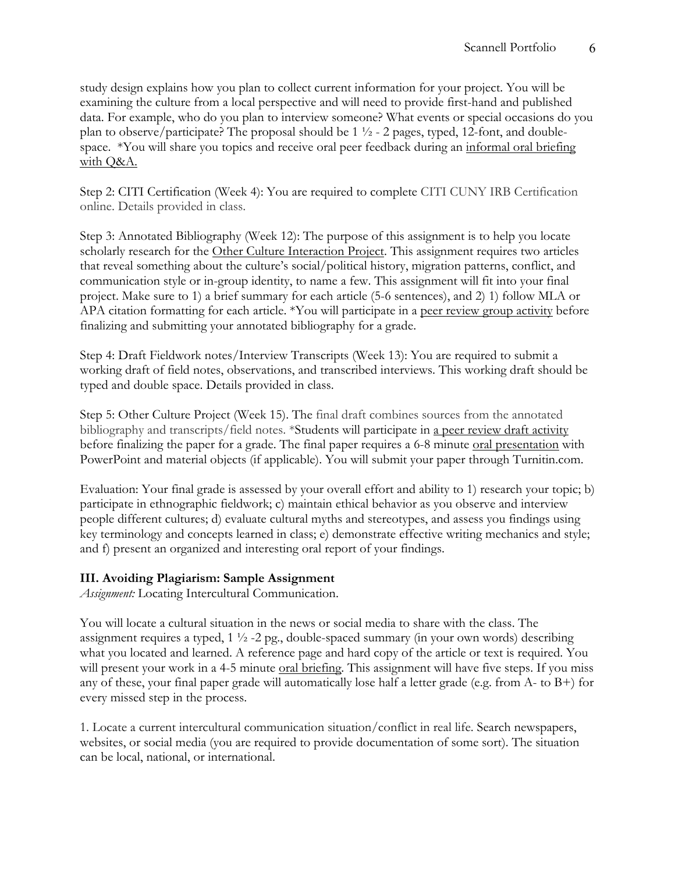study design explains how you plan to collect current information for your project. You will be examining the culture from a local perspective and will need to provide first-hand and published data. For example, who do you plan to interview someone? What events or special occasions do you plan to observe/participate? The proposal should be  $1\frac{1}{2}$  - 2 pages, typed, 12-font, and doublespace. \*You will share you topics and receive oral peer feedback during an informal oral briefing with Q&A.

Step 2: CITI Certification (Week 4): You are required to complete CITI CUNY IRB Certification online. Details provided in class.

Step 3: Annotated Bibliography (Week 12): The purpose of this assignment is to help you locate scholarly research for the Other Culture Interaction Project. This assignment requires two articles that reveal something about the culture's social/political history, migration patterns, conflict, and communication style or in-group identity, to name a few. This assignment will fit into your final project. Make sure to 1) a brief summary for each article (5-6 sentences), and 2) 1) follow MLA or APA citation formatting for each article. \*You will participate in a peer review group activity before finalizing and submitting your annotated bibliography for a grade.

Step 4: Draft Fieldwork notes/Interview Transcripts (Week 13): You are required to submit a working draft of field notes, observations, and transcribed interviews. This working draft should be typed and double space. Details provided in class.

Step 5: Other Culture Project (Week 15). The final draft combines sources from the annotated bibliography and transcripts/field notes. \*Students will participate in a peer review draft activity before finalizing the paper for a grade. The final paper requires a 6-8 minute oral presentation with PowerPoint and material objects (if applicable). You will submit your paper through Turnitin.com.

Evaluation: Your final grade is assessed by your overall effort and ability to 1) research your topic; b) participate in ethnographic fieldwork; c) maintain ethical behavior as you observe and interview people different cultures; d) evaluate cultural myths and stereotypes, and assess you findings using key terminology and concepts learned in class; e) demonstrate effective writing mechanics and style; and f) present an organized and interesting oral report of your findings.

### **III. Avoiding Plagiarism: Sample Assignment**

*Assignment:* Locating Intercultural Communication.

You will locate a cultural situation in the news or social media to share with the class. The assignment requires a typed,  $1 \frac{1}{2}$  -2 pg., double-spaced summary (in your own words) describing what you located and learned. A reference page and hard copy of the article or text is required. You will present your work in a 4-5 minute oral briefing. This assignment will have five steps. If you miss any of these, your final paper grade will automatically lose half a letter grade (e.g. from A- to B+) for every missed step in the process.

1. Locate a current intercultural communication situation/conflict in real life. Search newspapers, websites, or social media (you are required to provide documentation of some sort). The situation can be local, national, or international.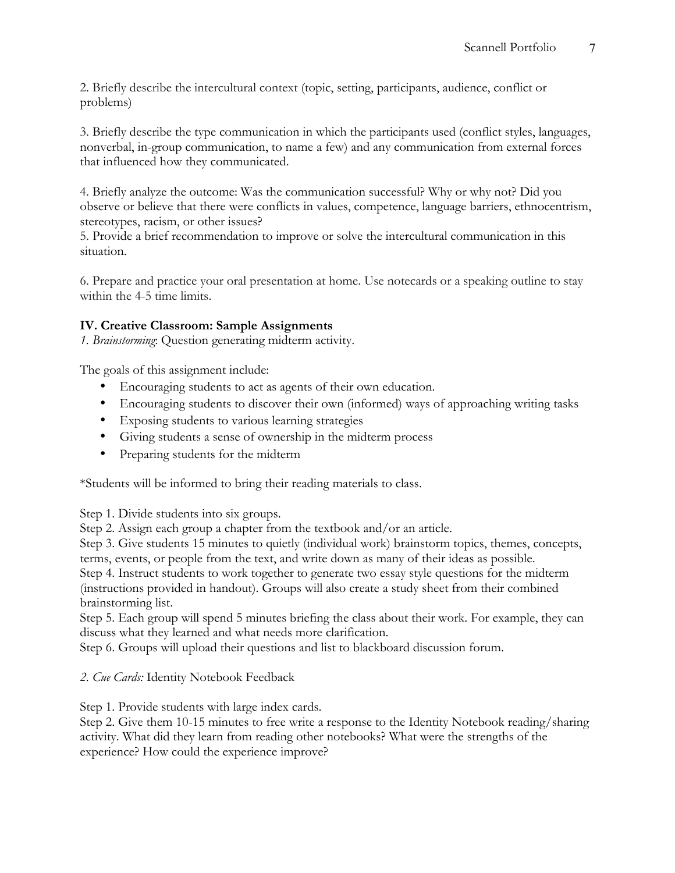2. Briefly describe the intercultural context (topic, setting, participants, audience, conflict or problems)

3. Briefly describe the type communication in which the participants used (conflict styles, languages, nonverbal, in-group communication, to name a few) and any communication from external forces that influenced how they communicated.

4. Briefly analyze the outcome: Was the communication successful? Why or why not? Did you observe or believe that there were conflicts in values, competence, language barriers, ethnocentrism, stereotypes, racism, or other issues?

5. Provide a brief recommendation to improve or solve the intercultural communication in this situation.

6. Prepare and practice your oral presentation at home. Use notecards or a speaking outline to stay within the 4-5 time limits.

### **IV. Creative Classroom: Sample Assignments**

*1. Brainstorming*: Question generating midterm activity.

The goals of this assignment include:

- Encouraging students to act as agents of their own education.
- Encouraging students to discover their own (informed) ways of approaching writing tasks
- Exposing students to various learning strategies
- Giving students a sense of ownership in the midterm process
- Preparing students for the midterm

\*Students will be informed to bring their reading materials to class.

Step 1. Divide students into six groups.

Step 2. Assign each group a chapter from the textbook and/or an article.

Step 3. Give students 15 minutes to quietly (individual work) brainstorm topics, themes, concepts, terms, events, or people from the text, and write down as many of their ideas as possible.

Step 4. Instruct students to work together to generate two essay style questions for the midterm (instructions provided in handout). Groups will also create a study sheet from their combined brainstorming list.

Step 5. Each group will spend 5 minutes briefing the class about their work. For example, they can discuss what they learned and what needs more clarification.

Step 6. Groups will upload their questions and list to blackboard discussion forum.

*2. Cue Cards:* Identity Notebook Feedback

Step 1. Provide students with large index cards.

Step 2. Give them 10-15 minutes to free write a response to the Identity Notebook reading/sharing activity. What did they learn from reading other notebooks? What were the strengths of the experience? How could the experience improve?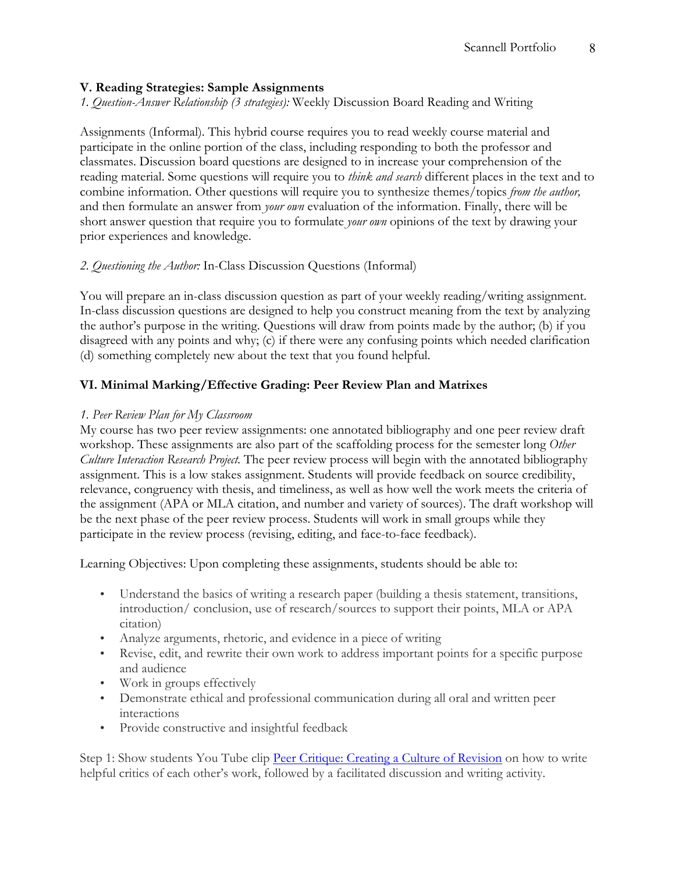### **V. Reading Strategies: Sample Assignments**

*1. Question-Answer Relationship (3 strategies):* Weekly Discussion Board Reading and Writing

Assignments (Informal). This hybrid course requires you to read weekly course material and participate in the online portion of the class, including responding to both the professor and classmates. Discussion board questions are designed to in increase your comprehension of the reading material. Some questions will require you to *think and search* different places in the text and to combine information. Other questions will require you to synthesize themes/topics *from the author,*  and then formulate an answer from *your own* evaluation of the information. Finally, there will be short answer question that require you to formulate *your own* opinions of the text by drawing your prior experiences and knowledge.

### *2. Questioning the Author:* In-Class Discussion Questions (Informal)

You will prepare an in-class discussion question as part of your weekly reading/writing assignment. In-class discussion questions are designed to help you construct meaning from the text by analyzing the author's purpose in the writing. Questions will draw from points made by the author; (b) if you disagreed with any points and why; (c) if there were any confusing points which needed clarification (d) something completely new about the text that you found helpful.

### **VI. Minimal Marking/Effective Grading: Peer Review Plan and Matrixes**

### *1. Peer Review Plan for My Classroom*

My course has two peer review assignments: one annotated bibliography and one peer review draft workshop. These assignments are also part of the scaffolding process for the semester long *Other Culture Interaction Research Project.* The peer review process will begin with the annotated bibliography assignment. This is a low stakes assignment. Students will provide feedback on source credibility, relevance, congruency with thesis, and timeliness, as well as how well the work meets the criteria of the assignment (APA or MLA citation, and number and variety of sources). The draft workshop will be the next phase of the peer review process. Students will work in small groups while they participate in the review process (revising, editing, and face-to-face feedback).

Learning Objectives: Upon completing these assignments, students should be able to:

- Understand the basics of writing a research paper (building a thesis statement, transitions, introduction/ conclusion, use of research/sources to support their points, MLA or APA citation)
- Analyze arguments, rhetoric, and evidence in a piece of writing
- Revise, edit, and rewrite their own work to address important points for a specific purpose and audience
- Work in groups effectively
- Demonstrate ethical and professional communication during all oral and written peer interactions
- Provide constructive and insightful feedback

Step 1: Show students You Tube clip Peer Critique: Creating a Culture of Revision on how to write helpful critics of each other's work, followed by a facilitated discussion and writing activity.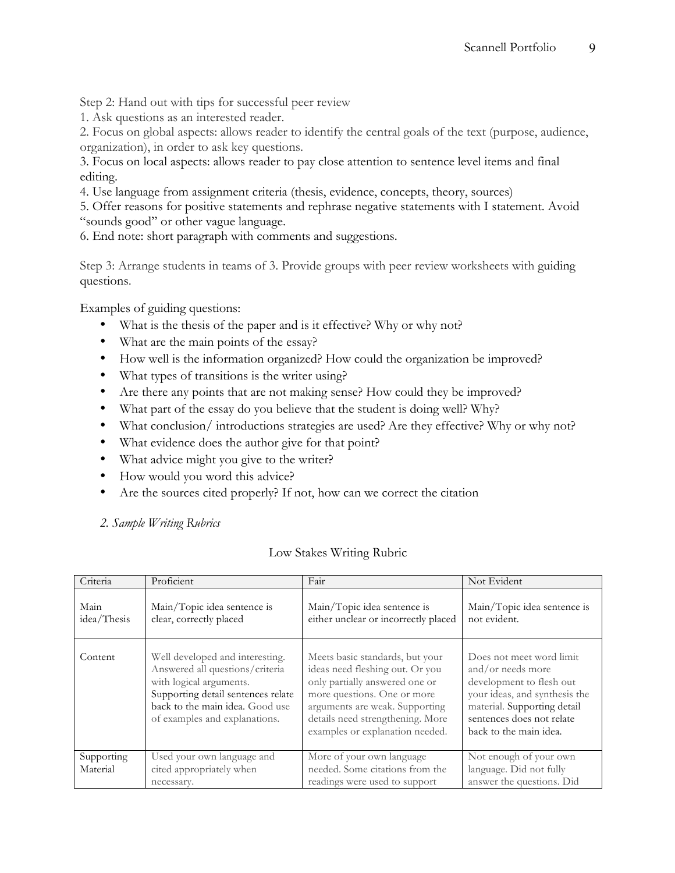Step 2: Hand out with tips for successful peer review

1. Ask questions as an interested reader.

2. Focus on global aspects: allows reader to identify the central goals of the text (purpose, audience, organization), in order to ask key questions.

3. Focus on local aspects: allows reader to pay close attention to sentence level items and final editing.

4. Use language from assignment criteria (thesis, evidence, concepts, theory, sources)

5. Offer reasons for positive statements and rephrase negative statements with I statement. Avoid "sounds good" or other vague language.

6. End note: short paragraph with comments and suggestions.

Step 3: Arrange students in teams of 3. Provide groups with peer review worksheets with guiding questions.

Examples of guiding questions:

- What is the thesis of the paper and is it effective? Why or why not?
- What are the main points of the essay?
- How well is the information organized? How could the organization be improved?
- What types of transitions is the writer using?
- Are there any points that are not making sense? How could they be improved?
- What part of the essay do you believe that the student is doing well? Why?
- What conclusion/ introductions strategies are used? Are they effective? Why or why not?
- What evidence does the author give for that point?
- What advice might you give to the writer?
- How would you word this advice?
- Are the sources cited properly? If not, how can we correct the citation

*2. Sample Writing Rubrics*

| Criteria            | Proficient                                                                                                                                                                                              | Fair                                                                                                                                                                                                                                         | Not Evident                                                                                                                                                                                      |
|---------------------|---------------------------------------------------------------------------------------------------------------------------------------------------------------------------------------------------------|----------------------------------------------------------------------------------------------------------------------------------------------------------------------------------------------------------------------------------------------|--------------------------------------------------------------------------------------------------------------------------------------------------------------------------------------------------|
| Main<br>idea/Thesis | Main/Topic idea sentence is<br>clear, correctly placed                                                                                                                                                  | Main/Topic idea sentence is<br>either unclear or incorrectly placed                                                                                                                                                                          | Main/Topic idea sentence is<br>not evident.                                                                                                                                                      |
| Content             | Well developed and interesting.<br>Answered all questions/criteria<br>with logical arguments.<br>Supporting detail sentences relate<br>back to the main idea. Good use<br>of examples and explanations. | Meets basic standards, but your<br>ideas need fleshing out. Or you<br>only partially answered one or<br>more questions. One or more<br>arguments are weak. Supporting<br>details need strengthening. More<br>examples or explanation needed. | Does not meet word limit<br>and/or needs more<br>development to flesh out<br>your ideas, and synthesis the<br>material. Supporting detail<br>sentences does not relate<br>back to the main idea. |
| Supporting          | Used your own language and                                                                                                                                                                              | More of your own language                                                                                                                                                                                                                    | Not enough of your own                                                                                                                                                                           |
| Material            | cited appropriately when                                                                                                                                                                                | needed. Some citations from the                                                                                                                                                                                                              | language. Did not fully                                                                                                                                                                          |
|                     | necessary.                                                                                                                                                                                              | readings were used to support                                                                                                                                                                                                                | answer the questions. Did                                                                                                                                                                        |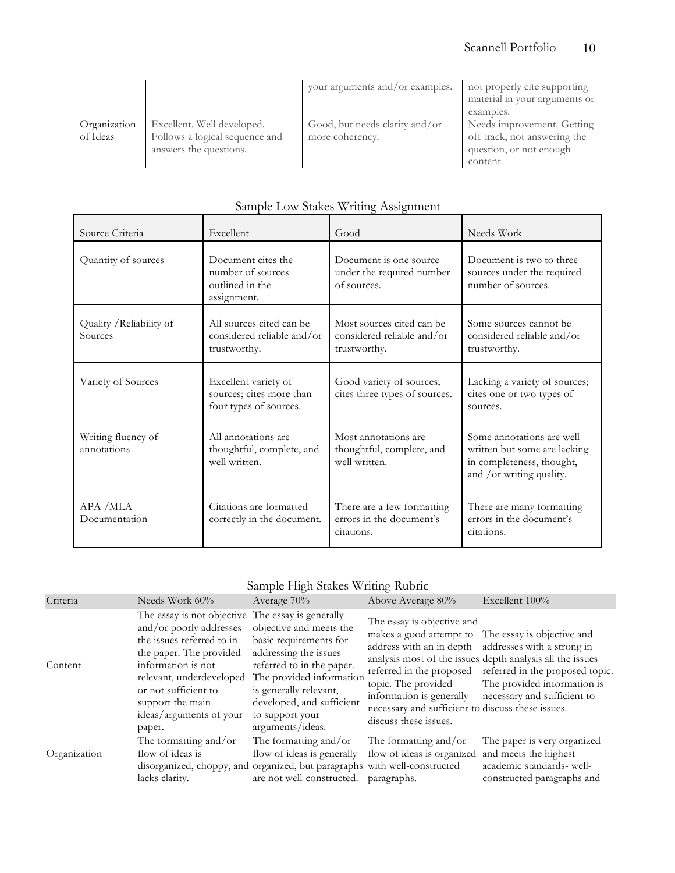|                          |                                                                                        | your arguments and/or examples.                   | not properly cite supporting<br>material in your arguments or<br>examples.                        |
|--------------------------|----------------------------------------------------------------------------------------|---------------------------------------------------|---------------------------------------------------------------------------------------------------|
| Organization<br>of Ideas | Excellent. Well developed.<br>Follows a logical sequence and<br>answers the questions. | Good, but needs clarity and/or<br>more coherency. | Needs improvement. Getting<br>off track, not answering the<br>question, or not enough<br>content. |

| Source Criteria                     | Excellent                                                                  | Good                                                                    | Needs Work                                                                                                         |
|-------------------------------------|----------------------------------------------------------------------------|-------------------------------------------------------------------------|--------------------------------------------------------------------------------------------------------------------|
| Quantity of sources                 | Document cites the<br>number of sources<br>outlined in the<br>assignment.  | Document is one source<br>under the required number<br>of sources.      | Document is two to three<br>sources under the required<br>number of sources.                                       |
| Quality / Reliability of<br>Sources | All sources cited can be<br>considered reliable and/or<br>trustworthy.     | Most sources cited can be<br>considered reliable and/or<br>trustworthy. | Some sources cannot be<br>considered reliable and/or<br>trustworthy.                                               |
| Variety of Sources                  | Excellent variety of<br>sources; cites more than<br>four types of sources. | Good variety of sources;<br>cites three types of sources.               | Lacking a variety of sources;<br>cites one or two types of<br>sources.                                             |
| Writing fluency of<br>annotations   | All annotations are<br>thoughtful, complete, and<br>well written.          | Most annotations are<br>thoughtful, complete, and<br>well written.      | Some annotations are well<br>written but some are lacking<br>in completeness, thought,<br>and /or writing quality. |
| APA / MLA<br>Documentation          | Citations are formatted<br>correctly in the document.                      | There are a few formatting<br>errors in the document's<br>citations.    | There are many formatting<br>errors in the document's<br>citations.                                                |

# Sample Low Stakes Writing Assignment

### Sample High Stakes Writing Rubric

| Criteria     | Needs Work 60%                                                                                                                                                                                                                                                          | Average 70%                                                                                                                                                                                                                       | Above Average 80%                                                                                                                                           | Excellent 100%                                                                                                                                                                                                                                                                                   |
|--------------|-------------------------------------------------------------------------------------------------------------------------------------------------------------------------------------------------------------------------------------------------------------------------|-----------------------------------------------------------------------------------------------------------------------------------------------------------------------------------------------------------------------------------|-------------------------------------------------------------------------------------------------------------------------------------------------------------|--------------------------------------------------------------------------------------------------------------------------------------------------------------------------------------------------------------------------------------------------------------------------------------------------|
| Content      | The essay is not objective The essay is generally<br>and/or poorly addresses<br>the issues referred to in<br>the paper. The provided<br>information is not<br>relevant, underdeveloped<br>or not sufficient to<br>support the main<br>ideas/arguments of your<br>paper. | objective and meets the<br>basic requirements for<br>addressing the issues<br>referred to in the paper.<br>The provided information<br>is generally relevant,<br>developed, and sufficient<br>to support your<br>arguments/ideas. | The essay is objective and<br>topic. The provided<br>information is generally<br>necessary and sufficient to discuss these issues.<br>discuss these issues. | makes a good attempt to The essay is objective and<br>address with an in depth addresses with a strong in<br>analysis most of the issues depth analysis all the issues<br>referred in the proposed referred in the proposed topic.<br>The provided information is<br>necessary and sufficient to |
| Organization | The formatting and/or<br>flow of ideas is                                                                                                                                                                                                                               | The formatting and/or<br>flow of ideas is generally                                                                                                                                                                               | The formatting and/or<br>flow of ideas is organized                                                                                                         | The paper is very organized<br>and meets the highest                                                                                                                                                                                                                                             |
|              | lacks clarity.                                                                                                                                                                                                                                                          | disorganized, choppy, and organized, but paragraphs with well-constructed<br>are not well-constructed.                                                                                                                            | paragraphs.                                                                                                                                                 | academic standards- well-<br>constructed paragraphs and                                                                                                                                                                                                                                          |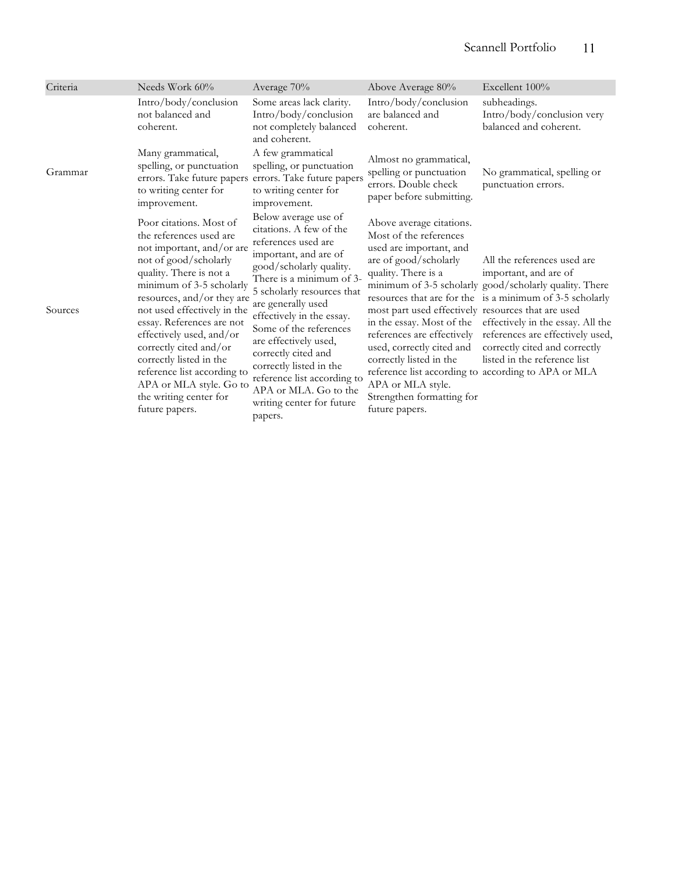| Criteria | Needs Work 60%                                                                                                                                                                                                                                                                                                                                                                                                                                   | Average 70%                                                                                                                                                                                                                                                                                                                                                                                                                                  | Above Average 80%                                                                                                                                                                                                                                                                                                                                                          | Excellent 100%                                                                                                                                                                                                                                                                                                                                                              |
|----------|--------------------------------------------------------------------------------------------------------------------------------------------------------------------------------------------------------------------------------------------------------------------------------------------------------------------------------------------------------------------------------------------------------------------------------------------------|----------------------------------------------------------------------------------------------------------------------------------------------------------------------------------------------------------------------------------------------------------------------------------------------------------------------------------------------------------------------------------------------------------------------------------------------|----------------------------------------------------------------------------------------------------------------------------------------------------------------------------------------------------------------------------------------------------------------------------------------------------------------------------------------------------------------------------|-----------------------------------------------------------------------------------------------------------------------------------------------------------------------------------------------------------------------------------------------------------------------------------------------------------------------------------------------------------------------------|
|          | Intro/body/conclusion<br>not balanced and<br>coherent.                                                                                                                                                                                                                                                                                                                                                                                           | Some areas lack clarity.<br>Intro/body/conclusion<br>not completely balanced<br>and coherent.                                                                                                                                                                                                                                                                                                                                                | Intro/body/conclusion<br>are balanced and<br>coherent.                                                                                                                                                                                                                                                                                                                     | subheadings.<br>Intro/body/conclusion very<br>balanced and coherent.                                                                                                                                                                                                                                                                                                        |
| Grammar  | Many grammatical,<br>spelling, or punctuation<br>to writing center for<br>improvement.                                                                                                                                                                                                                                                                                                                                                           | A few grammatical<br>spelling, or punctuation<br>errors. Take future papers errors. Take future papers<br>to writing center for<br>improvement.                                                                                                                                                                                                                                                                                              | Almost no grammatical,<br>spelling or punctuation<br>errors. Double check<br>paper before submitting.                                                                                                                                                                                                                                                                      | No grammatical, spelling or<br>punctuation errors.                                                                                                                                                                                                                                                                                                                          |
| Sources  | Poor citations. Most of<br>the references used are<br>not important, and/or are<br>not of good/scholarly<br>quality. There is not a<br>minimum of 3-5 scholarly<br>resources, and/or they are<br>not used effectively in the<br>essay. References are not<br>effectively used, and/or<br>correctly cited and/or<br>correctly listed in the<br>reference list according to<br>APA or MLA style. Go to<br>the writing center for<br>future papers. | Below average use of<br>citations. A few of the<br>references used are<br>important, and are of<br>good/scholarly quality.<br>There is a minimum of 3-<br>5 scholarly resources that<br>are generally used<br>effectively in the essay.<br>Some of the references<br>are effectively used,<br>correctly cited and<br>correctly listed in the<br>reference list according to<br>APA or MLA. Go to the<br>writing center for future<br>papers. | Above average citations.<br>Most of the references<br>used are important, and<br>are of good/scholarly<br>quality. There is a<br>most part used effectively resources that are used<br>in the essay. Most of the<br>references are effectively<br>used, correctly cited and<br>correctly listed in the<br>APA or MLA style.<br>Strengthen formatting for<br>future papers. | All the references used are<br>important, and are of<br>minimum of 3-5 scholarly good/scholarly quality. There<br>resources that are for the is a minimum of 3-5 scholarly<br>effectively in the essay. All the<br>references are effectively used,<br>correctly cited and correctly<br>listed in the reference list<br>reference list according to according to APA or MLA |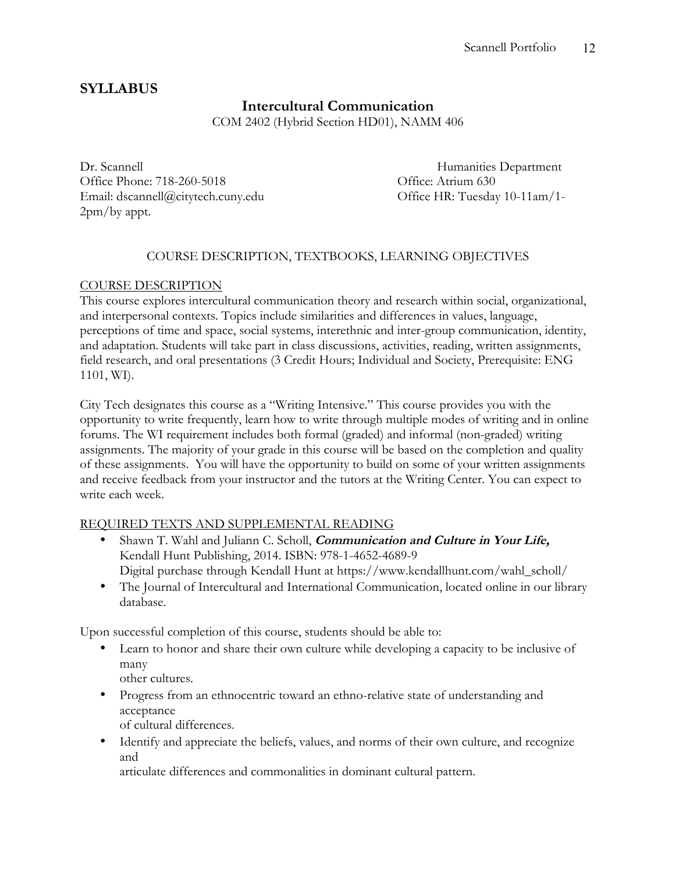# **SYLLABUS**

# **Intercultural Communication**

COM 2402 (Hybrid Section HD01), NAMM 406

Dr. Scannell Humanities Department Office Phone: 718-260-5018 Cffice: Atrium 630 Email: dscannell@citytech.cuny.edu Office HR: Tuesday 10-11am/1- 2pm/by appt.

### COURSE DESCRIPTION, TEXTBOOKS, LEARNING OBJECTIVES

### COURSE DESCRIPTION

This course explores intercultural communication theory and research within social, organizational, and interpersonal contexts. Topics include similarities and differences in values, language, perceptions of time and space, social systems, interethnic and inter-group communication, identity, and adaptation. Students will take part in class discussions, activities, reading, written assignments, field research, and oral presentations (3 Credit Hours; Individual and Society, Prerequisite: ENG 1101, WI).

City Tech designates this course as a "Writing Intensive." This course provides you with the opportunity to write frequently, learn how to write through multiple modes of writing and in online forums. The WI requirement includes both formal (graded) and informal (non-graded) writing assignments. The majority of your grade in this course will be based on the completion and quality of these assignments. You will have the opportunity to build on some of your written assignments and receive feedback from your instructor and the tutors at the Writing Center. You can expect to write each week.

### REQUIRED TEXTS AND SUPPLEMENTAL READING

- Shawn T. Wahl and Juliann C. Scholl, **Communication and Culture in Your Life,** Kendall Hunt Publishing, 2014. ISBN: 978-1-4652-4689-9 Digital purchase through Kendall Hunt at https://www.kendallhunt.com/wahl\_scholl/
- The Journal of Intercultural and International Communication, located online in our library database.

Upon successful completion of this course, students should be able to:

• Learn to honor and share their own culture while developing a capacity to be inclusive of many

other cultures.

• Progress from an ethnocentric toward an ethno-relative state of understanding and acceptance

of cultural differences.

• Identify and appreciate the beliefs, values, and norms of their own culture, and recognize and

articulate differences and commonalities in dominant cultural pattern.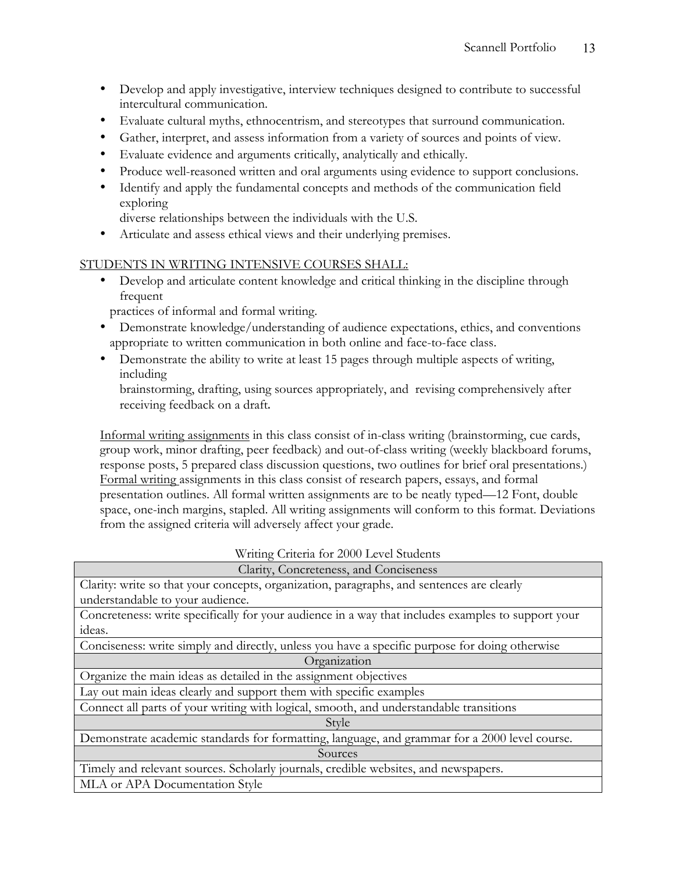- Develop and apply investigative, interview techniques designed to contribute to successful intercultural communication.
- Evaluate cultural myths, ethnocentrism, and stereotypes that surround communication.
- Gather, interpret, and assess information from a variety of sources and points of view.
- Evaluate evidence and arguments critically, analytically and ethically.
- Produce well-reasoned written and oral arguments using evidence to support conclusions.
- Identify and apply the fundamental concepts and methods of the communication field exploring

diverse relationships between the individuals with the U.S.

• Articulate and assess ethical views and their underlying premises.

### STUDENTS IN WRITING INTENSIVE COURSES SHALL:

• Develop and articulate content knowledge and critical thinking in the discipline through frequent

practices of informal and formal writing.

- Demonstrate knowledge/understanding of audience expectations, ethics, and conventions appropriate to written communication in both online and face-to-face class.
- Demonstrate the ability to write at least 15 pages through multiple aspects of writing, including

brainstorming, drafting, using sources appropriately, and revising comprehensively after receiving feedback on a draft.

Informal writing assignments in this class consist of in-class writing (brainstorming, cue cards, group work, minor drafting, peer feedback) and out-of-class writing (weekly blackboard forums, response posts, 5 prepared class discussion questions, two outlines for brief oral presentations.) Formal writing assignments in this class consist of research papers, essays, and formal presentation outlines. All formal written assignments are to be neatly typed—12 Font, double space, one-inch margins, stapled. All writing assignments will conform to this format. Deviations from the assigned criteria will adversely affect your grade.

### Writing Criteria for 2000 Level Students

| Clarity, Concreteness, and Conciseness                                                             |  |  |  |
|----------------------------------------------------------------------------------------------------|--|--|--|
| Clarity: write so that your concepts, organization, paragraphs, and sentences are clearly          |  |  |  |
| understandable to your audience.                                                                   |  |  |  |
| Concreteness: write specifically for your audience in a way that includes examples to support your |  |  |  |
| ideas.                                                                                             |  |  |  |
| Conciseness: write simply and directly, unless you have a specific purpose for doing otherwise     |  |  |  |
| Organization                                                                                       |  |  |  |
| Organize the main ideas as detailed in the assignment objectives                                   |  |  |  |
| Lay out main ideas clearly and support them with specific examples                                 |  |  |  |
| Connect all parts of your writing with logical, smooth, and understandable transitions             |  |  |  |
| Style                                                                                              |  |  |  |
| Demonstrate academic standards for formatting, language, and grammar for a 2000 level course.      |  |  |  |
| Sources                                                                                            |  |  |  |
| Timely and relevant sources. Scholarly journals, credible websites, and newspapers.                |  |  |  |
| MLA or APA Documentation Style                                                                     |  |  |  |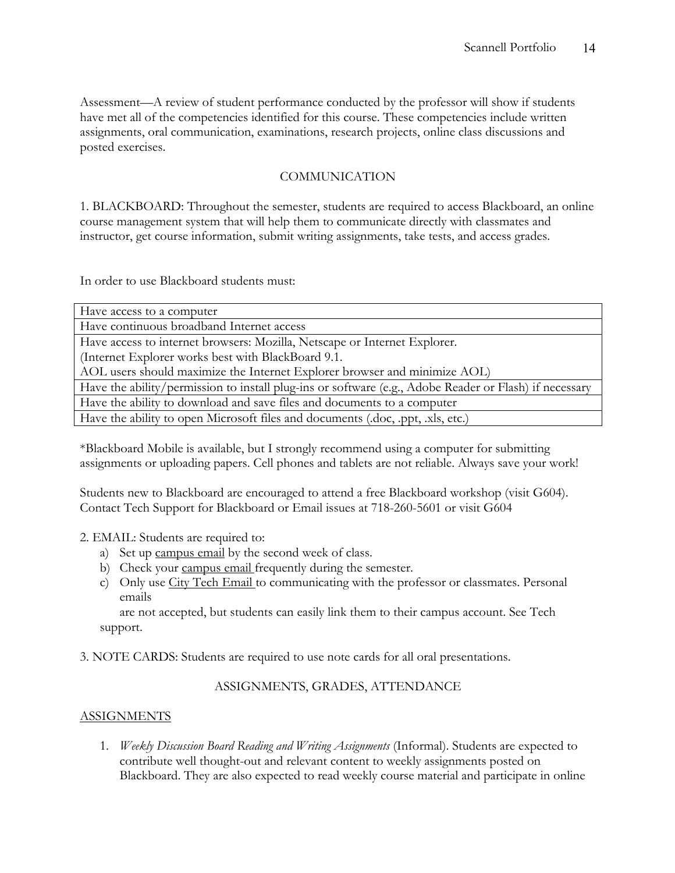Assessment—A review of student performance conducted by the professor will show if students have met all of the competencies identified for this course. These competencies include written assignments, oral communication, examinations, research projects, online class discussions and posted exercises.

### COMMUNICATION

1. BLACKBOARD: Throughout the semester, students are required to access Blackboard, an online course management system that will help them to communicate directly with classmates and instructor, get course information, submit writing assignments, take tests, and access grades.

In order to use Blackboard students must:

\*Blackboard Mobile is available, but I strongly recommend using a computer for submitting assignments or uploading papers. Cell phones and tablets are not reliable. Always save your work!

Students new to Blackboard are encouraged to attend a free Blackboard workshop (visit G604). Contact Tech Support for Blackboard or Email issues at 718-260-5601 or visit G604

- 2. EMAIL: Students are required to:
	- a) Set up campus email by the second week of class.
	- b) Check your campus email frequently during the semester.
	- c) Only use City Tech Email to communicating with the professor or classmates. Personal emails

are not accepted, but students can easily link them to their campus account. See Tech support.

### 3. NOTE CARDS: Students are required to use note cards for all oral presentations.

### ASSIGNMENTS, GRADES, ATTENDANCE

### ASSIGNMENTS

1. *Weekly Discussion Board Reading and Writing Assignments* (Informal). Students are expected to contribute well thought-out and relevant content to weekly assignments posted on Blackboard. They are also expected to read weekly course material and participate in online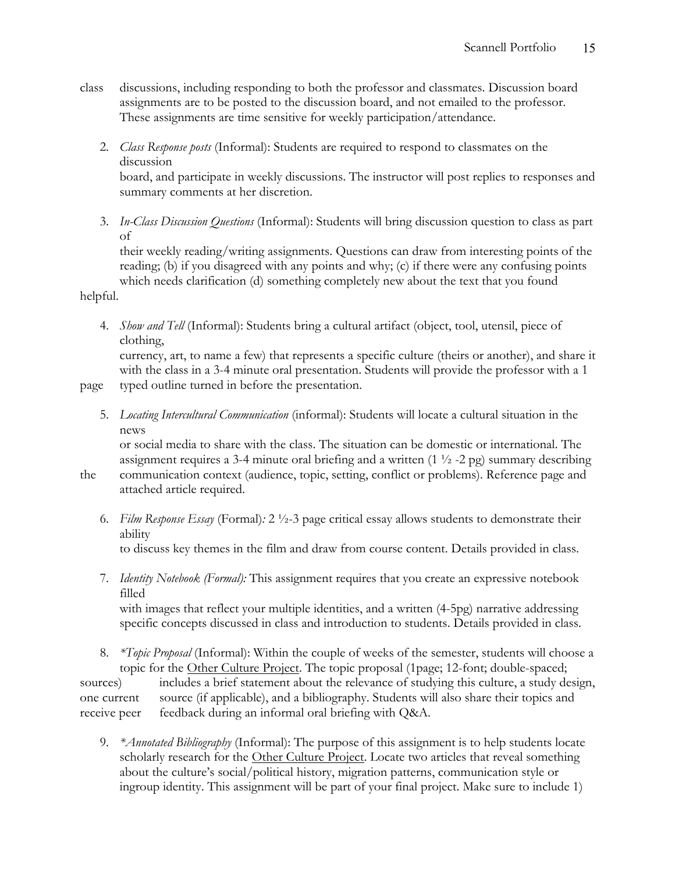- class discussions, including responding to both the professor and classmates. Discussion board assignments are to be posted to the discussion board, and not emailed to the professor. These assignments are time sensitive for weekly participation/attendance.
	- 2. *Class Response posts* (Informal): Students are required to respond to classmates on the discussion board, and participate in weekly discussions. The instructor will post replies to responses and

summary comments at her discretion.

3. *In-Class Discussion Questions* (Informal): Students will bring discussion question to class as part of

their weekly reading/writing assignments. Questions can draw from interesting points of the reading; (b) if you disagreed with any points and why; (c) if there were any confusing points which needs clarification (d) something completely new about the text that you found

helpful.

- 4. *Show and Tell* (Informal): Students bring a cultural artifact (object, tool, utensil, piece of clothing, currency, art, to name a few) that represents a specific culture (theirs or another), and share it with the class in a 3-4 minute oral presentation. Students will provide the professor with a 1
- page typed outline turned in before the presentation.
	- 5. *Locating Intercultural Communication* (informal): Students will locate a cultural situation in the news

or social media to share with the class. The situation can be domestic or international. The assignment requires a 3-4 minute oral briefing and a written  $(1 \frac{1}{2} - 2 \text{ pg})$  summary describing

- the communication context (audience, topic, setting, conflict or problems). Reference page and attached article required.
	- 6. *Film Response Essay* (Formal)*:* 2 ½-3 page critical essay allows students to demonstrate their ability

to discuss key themes in the film and draw from course content. Details provided in class.

7. *Identity Notebook (Formal):* This assignment requires that you create an expressive notebook filled

with images that reflect your multiple identities, and a written  $(4-5pg)$  narrative addressing specific concepts discussed in class and introduction to students. Details provided in class.

- 8. *\*Topic Proposal* (Informal): Within the couple of weeks of the semester, students will choose a topic for the Other Culture Project. The topic proposal (1page; 12-font; double-spaced; sources) includes a brief statement about the relevance of studying this culture, a study design, one current source (if applicable), and a bibliography. Students will also share their topics and receive peer feedback during an informal oral briefing with Q&A.
	- 9. *\*Annotated Bibliography* (Informal): The purpose of this assignment is to help students locate scholarly research for the Other Culture Project. Locate two articles that reveal something about the culture's social/political history, migration patterns, communication style or ingroup identity. This assignment will be part of your final project. Make sure to include 1)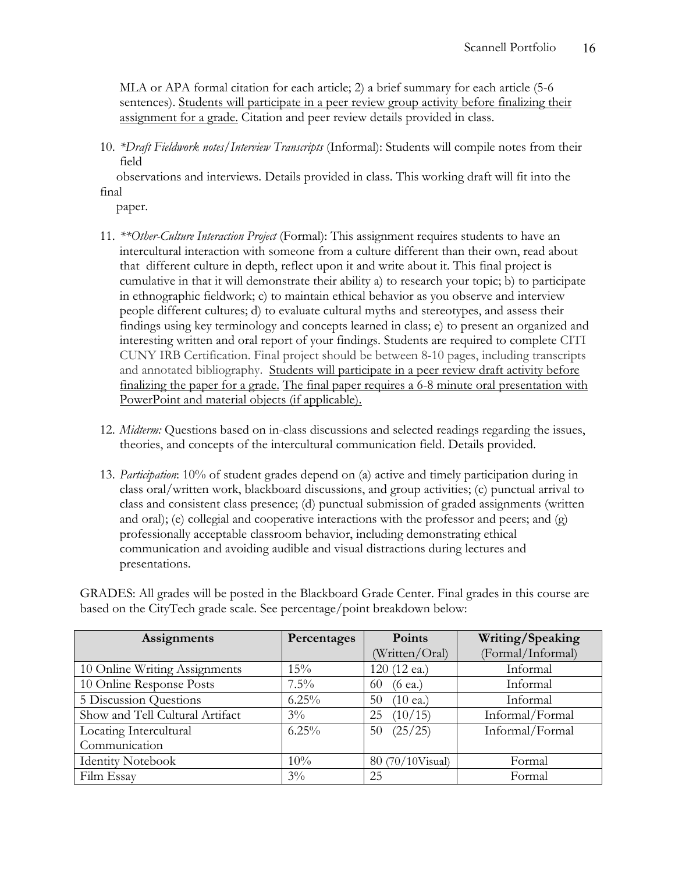MLA or APA formal citation for each article; 2) a brief summary for each article (5-6 sentences). Students will participate in a peer review group activity before finalizing their assignment for a grade. Citation and peer review details provided in class.

10. *\*Draft Fieldwork notes/Interview Transcripts* (Informal): Students will compile notes from their field

 observations and interviews. Details provided in class. This working draft will fit into the final

paper.

- 11. *\*\*Other-Culture Interaction Project* (Formal): This assignment requires students to have an intercultural interaction with someone from a culture different than their own, read about that different culture in depth, reflect upon it and write about it. This final project is cumulative in that it will demonstrate their ability a) to research your topic; b) to participate in ethnographic fieldwork; c) to maintain ethical behavior as you observe and interview people different cultures; d) to evaluate cultural myths and stereotypes, and assess their findings using key terminology and concepts learned in class; e) to present an organized and interesting written and oral report of your findings. Students are required to complete CITI CUNY IRB Certification. Final project should be between 8-10 pages, including transcripts and annotated bibliography. Students will participate in a peer review draft activity before finalizing the paper for a grade. The final paper requires a 6-8 minute oral presentation with PowerPoint and material objects (if applicable).
- 12. *Midterm:* Questions based on in-class discussions and selected readings regarding the issues, theories, and concepts of the intercultural communication field. Details provided.
- 13. *Participation*: 10% of student grades depend on (a) active and timely participation during in class oral/written work, blackboard discussions, and group activities; (c) punctual arrival to class and consistent class presence; (d) punctual submission of graded assignments (written and oral); (e) collegial and cooperative interactions with the professor and peers; and (g) professionally acceptable classroom behavior, including demonstrating ethical communication and avoiding audible and visual distractions during lectures and presentations.

GRADES: All grades will be posted in the Blackboard Grade Center. Final grades in this course are based on the CityTech grade scale. See percentage/point breakdown below:

| Assignments                     | Percentages | Points                   | Writing/Speaking  |
|---------------------------------|-------------|--------------------------|-------------------|
|                                 |             | (Written/Oral)           | (Formal/Informal) |
| 10 Online Writing Assignments   | 15%         | 120 (12 ea.)             | Informal          |
| 10 Online Response Posts        | $7.5\%$     | $(6$ ea.)<br>60          | Informal          |
| 5 Discussion Questions          | $6.25\%$    | $(10 \text{ ea.})$<br>50 | Informal          |
| Show and Tell Cultural Artifact | $3\%$       | (10/15)<br>25            | Informal/Formal   |
| Locating Intercultural          | $6.25\%$    | (25/25)<br>50            | Informal/Formal   |
| Communication                   |             |                          |                   |
| <b>Identity Notebook</b>        | 10%         | 80 (70/10Visual)         | Formal            |
| Film Essay                      | $3\%$       | 25                       | Formal            |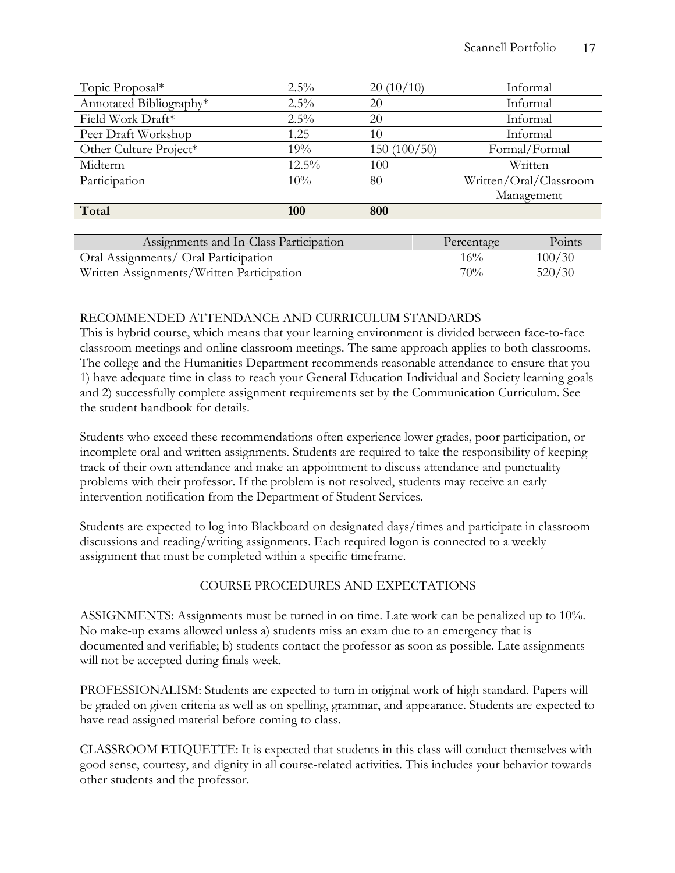| Topic Proposal*         | $2.5\%$  | 20(10/10)   | Informal               |
|-------------------------|----------|-------------|------------------------|
| Annotated Bibliography* | $2.5\%$  | 20          | Informal               |
| Field Work Draft*       | 2.5%     | 20          | Informal               |
| Peer Draft Workshop     | 1.25     | 10          | Informal               |
| Other Culture Project*  | 19%      | 150(100/50) | Formal/Formal          |
| Midterm                 | $12.5\%$ | 100         | Written                |
| Participation           | 10%      | 80          | Written/Oral/Classroom |
|                         |          |             | Management             |
| Total                   | 100      | 800         |                        |

| Assignments and In-Class Participation    | Percentage | Points |
|-------------------------------------------|------------|--------|
| Oral Assignments/ Oral Participation      | 16%        | 100/30 |
| Written Assignments/Written Participation | $70\%$     | 520/30 |

### RECOMMENDED ATTENDANCE AND CURRICULUM STANDARDS

This is hybrid course, which means that your learning environment is divided between face-to-face classroom meetings and online classroom meetings. The same approach applies to both classrooms. The college and the Humanities Department recommends reasonable attendance to ensure that you 1) have adequate time in class to reach your General Education Individual and Society learning goals and 2) successfully complete assignment requirements set by the Communication Curriculum. See the student handbook for details.

Students who exceed these recommendations often experience lower grades, poor participation, or incomplete oral and written assignments. Students are required to take the responsibility of keeping track of their own attendance and make an appointment to discuss attendance and punctuality problems with their professor. If the problem is not resolved, students may receive an early intervention notification from the Department of Student Services.

Students are expected to log into Blackboard on designated days/times and participate in classroom discussions and reading/writing assignments. Each required logon is connected to a weekly assignment that must be completed within a specific timeframe.

### COURSE PROCEDURES AND EXPECTATIONS

ASSIGNMENTS: Assignments must be turned in on time. Late work can be penalized up to 10%. No make-up exams allowed unless a) students miss an exam due to an emergency that is documented and verifiable; b) students contact the professor as soon as possible. Late assignments will not be accepted during finals week.

PROFESSIONALISM: Students are expected to turn in original work of high standard. Papers will be graded on given criteria as well as on spelling, grammar, and appearance. Students are expected to have read assigned material before coming to class.

CLASSROOM ETIQUETTE: It is expected that students in this class will conduct themselves with good sense, courtesy, and dignity in all course-related activities. This includes your behavior towards other students and the professor.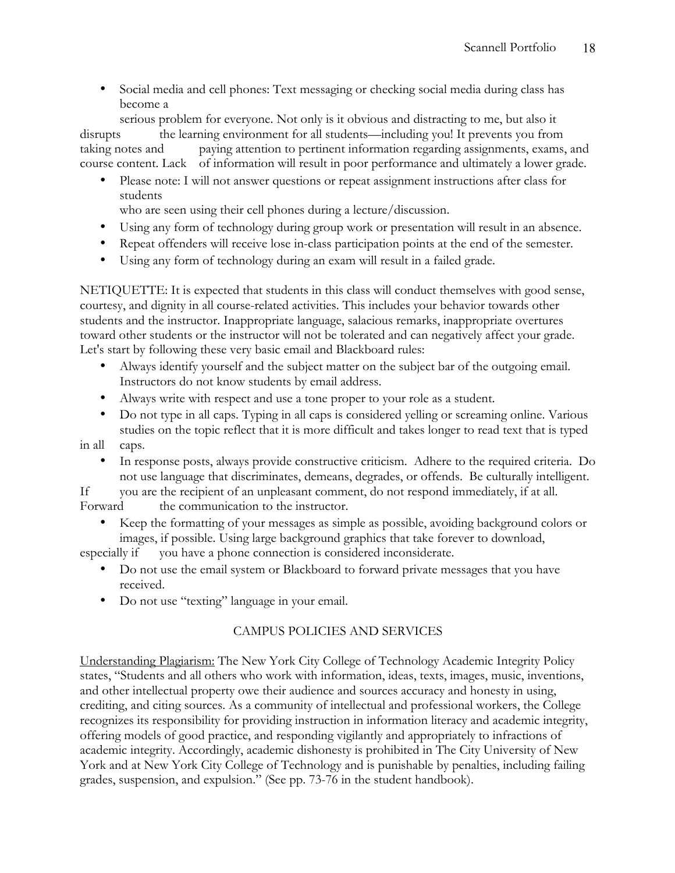• Social media and cell phones: Text messaging or checking social media during class has become a

serious problem for everyone. Not only is it obvious and distracting to me, but also it disrupts the learning environment for all students—including you! It prevents you from taking notes and paying attention to pertinent information regarding assignments, exams, and course content. Lack of information will result in poor performance and ultimately a lower grade.

• Please note: I will not answer questions or repeat assignment instructions after class for students

who are seen using their cell phones during a lecture/discussion.

- Using any form of technology during group work or presentation will result in an absence.
- Repeat offenders will receive lose in-class participation points at the end of the semester.
- Using any form of technology during an exam will result in a failed grade.

NETIQUETTE: It is expected that students in this class will conduct themselves with good sense, courtesy, and dignity in all course-related activities. This includes your behavior towards other students and the instructor. Inappropriate language, salacious remarks, inappropriate overtures toward other students or the instructor will not be tolerated and can negatively affect your grade. Let's start by following these very basic email and Blackboard rules:

- Always identify yourself and the subject matter on the subject bar of the outgoing email. Instructors do not know students by email address.
- Always write with respect and use a tone proper to your role as a student.
- Do not type in all caps. Typing in all caps is considered yelling or screaming online. Various studies on the topic reflect that it is more difficult and takes longer to read text that is typed
- in all caps.
	- In response posts, always provide constructive criticism. Adhere to the required criteria. Do not use language that discriminates, demeans, degrades, or offends. Be culturally intelligent.

If you are the recipient of an unpleasant comment, do not respond immediately, if at all. Forward the communication to the instructor.

• Keep the formatting of your messages as simple as possible, avoiding background colors or images, if possible. Using large background graphics that take forever to download,

especially if you have a phone connection is considered inconsiderate.

- Do not use the email system or Blackboard to forward private messages that you have received.
- Do not use "texting" language in your email.

# CAMPUS POLICIES AND SERVICES

Understanding Plagiarism: The New York City College of Technology Academic Integrity Policy states, "Students and all others who work with information, ideas, texts, images, music, inventions, and other intellectual property owe their audience and sources accuracy and honesty in using, crediting, and citing sources. As a community of intellectual and professional workers, the College recognizes its responsibility for providing instruction in information literacy and academic integrity, offering models of good practice, and responding vigilantly and appropriately to infractions of academic integrity. Accordingly, academic dishonesty is prohibited in The City University of New York and at New York City College of Technology and is punishable by penalties, including failing grades, suspension, and expulsion." (See pp. 73-76 in the student handbook).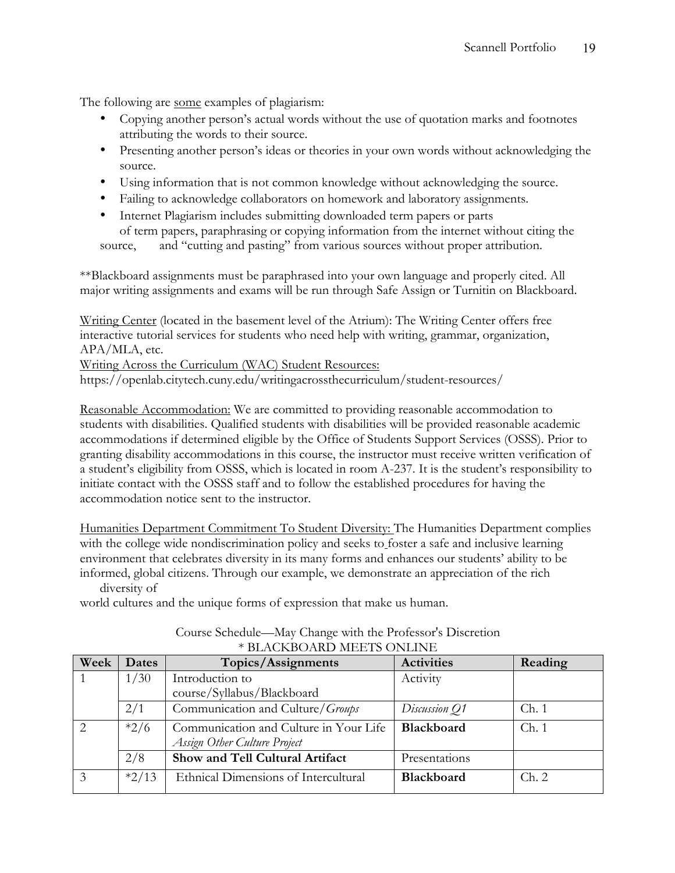The following are some examples of plagiarism:

- Copying another person's actual words without the use of quotation marks and footnotes attributing the words to their source.
- Presenting another person's ideas or theories in your own words without acknowledging the source.
- Using information that is not common knowledge without acknowledging the source.
- Failing to acknowledge collaborators on homework and laboratory assignments.
- Internet Plagiarism includes submitting downloaded term papers or parts of term papers, paraphrasing or copying information from the internet without citing the

source, and "cutting and pasting" from various sources without proper attribution.

\*\*Blackboard assignments must be paraphrased into your own language and properly cited. All major writing assignments and exams will be run through Safe Assign or Turnitin on Blackboard.

Writing Center (located in the basement level of the Atrium): The Writing Center offers free interactive tutorial services for students who need help with writing, grammar, organization, APA/MLA, etc.

Writing Across the Curriculum (WAC) Student Resources:

https://openlab.citytech.cuny.edu/writingacrossthecurriculum/student-resources/

Reasonable Accommodation: We are committed to providing reasonable accommodation to students with disabilities. Qualified students with disabilities will be provided reasonable academic accommodations if determined eligible by the Office of Students Support Services (OSSS). Prior to granting disability accommodations in this course, the instructor must receive written verification of a student's eligibility from OSSS, which is located in room A-237. It is the student's responsibility to initiate contact with the OSSS staff and to follow the established procedures for having the accommodation notice sent to the instructor.

Humanities Department Commitment To Student Diversity: The Humanities Department complies with the college wide nondiscrimination policy and seeks to foster a safe and inclusive learning environment that celebrates diversity in its many forms and enhances our students' ability to be informed, global citizens. Through our example, we demonstrate an appreciation of the rich diversity of

world cultures and the unique forms of expression that make us human.

| Week          | <b>Dates</b> | Topics/Assignments                     | <b>Activities</b> | Reading |
|---------------|--------------|----------------------------------------|-------------------|---------|
|               | 1/30         | Introduction to                        | Activity          |         |
|               |              | course/Syllabus/Blackboard             |                   |         |
|               | 2/1          | Communication and Culture/Groups       | Discussion Q1     | Ch.1    |
| $\mathcal{D}$ | $*2/6$       | Communication and Culture in Your Life | <b>Blackboard</b> | Ch.1    |
|               |              | Assign Other Culture Project           |                   |         |
|               | 2/8          | Show and Tell Cultural Artifact        | Presentations     |         |
| $\mathcal{Z}$ | $*2/13$      | Ethnical Dimensions of Intercultural   | <b>Blackboard</b> | Ch. 2   |
|               |              |                                        |                   |         |

#### Course Schedule—May Change with the Professor's Discretion \* BLACKBOARD MEETS ONLINE